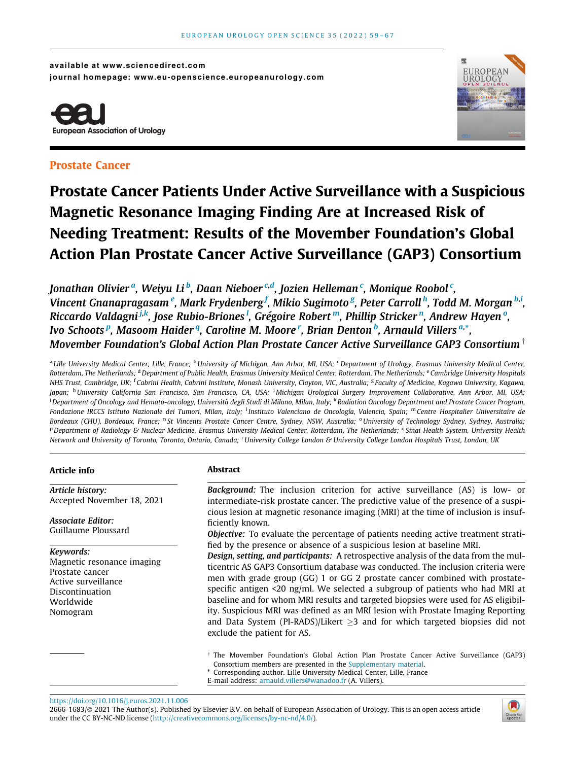available at www.sciencedirect.com journal homepage: www.eu-openscience.europeanurology.com



# Prostate Cancer



# Prostate Cancer Patients Under Active Surveillance with a Suspicious Magnetic Resonance Imaging Finding Are at Increased Risk of Needing Treatment: Results of the Movember Foundation's Global Action Plan Prostate Cancer Active Surveillance (GAP3) Consortium

Jonathan Olivierª, Weiyu Li <sup>b</sup>, Daan Nieboer <sup>c,d</sup>, Jozien Helleman <sup>c</sup>, Monique Roobol <sup>c</sup>, Vincent Gnanapragasam <sup>e</sup>, Mark Frydenberg <sup>f</sup>, Mikio Sugimoto <sup>g</sup>, Peter Carroll <sup>h</sup>, Todd M. Morgan <sup>b,i</sup>, Riccardo Valdagni<sup>.j.k</sup>, Jose Rubio-Briones <sup>I</sup>, Grégoire Robert ™, Phillip Stricker <sup>n</sup>, Andrew Hayen º, Ivo Schoots <sup>p</sup>, Masoom Haider <sup>q</sup>, Caroline M. Moore <sup>r</sup>, Brian Denton <sup>b</sup>, Arnauld Villers <sup>a,</sup>\*, Movember Foundation's Global Action Plan Prostate Cancer Active Surveillance GAP3 Consortium  $^{\dagger}$ 

a Lille University Medical Center, Lille, France; <sup>b</sup>University of Michigan, Ann Arbor, MI, USA; <sup>c</sup>Department of Urology, Erasmus University Medical Center, Rotterdam, The Netherlands; <sup>d</sup> Department of Public Health, Erasmus University Medical Center, Rotterdam, The Netherlands; <sup>e</sup> Cambridge University Hospitals NHS Trust, Cambridge, UK; <sup>t</sup>Cabrini Health, Cabrini Institute, Monash University, Clayton, VIC, Australia; <sup>g</sup> Faculty of Medicine, Kagawa University, Kagawa, Japan; <sup>h</sup>University California San Francisco, San Francisco, CA, USA; <sup>i</sup>Michigan Urological Surgery Improvement Collaborative, Ann Arbor, MI, USA; <sup>i</sup> Department of Oncology and Hemato-oncology, Università degli Studi di Milano, Milan, Italy; <sup>k</sup> Radiation Oncology Department and Prostate Cancer Program, Fondazione IRCCS Istituto Nazionale dei Tumori, Milan, Italy; <sup>1</sup>Instituto Valenciano de Oncología, Valencia, Spain; <sup>m</sup>Centre Hospitalier Universitaire de Bordeaux (CHU), Bordeaux, France; <sup>n</sup> St Vincents Prostate Cancer Centre, Sydney, NSW, Australia; <sup>o</sup> University of Technology Sydney, Sydney, Australia; P Department of Radiology & Nuclear Medicine, Erasmus University Medical Center, Rotterdam, The Netherlands; <sup>q</sup> Sinai Health System, University Health Network and University of Toronto, Toronto, Ontario, Canada; <sup>r</sup> University College London & University College London Hospitals Trust, London, UK

# Article info

Article history: Accepted November 18, 2021

Associate Editor: Guillaume Ploussard

# Keywords:

Magnetic resonance imaging Prostate cancer Active surveillance Discontinuation Worldwide Nomogram

# Abstract

Background: The inclusion criterion for active surveillance (AS) is low- or intermediate-risk prostate cancer. The predictive value of the presence of a suspicious lesion at magnetic resonance imaging (MRI) at the time of inclusion is insufficiently known.

Objective: To evaluate the percentage of patients needing active treatment stratified by the presence or absence of a suspicious lesion at baseline MRI.

Design, setting, and participants: A retrospective analysis of the data from the multicentric AS GAP3 Consortium database was conducted. The inclusion criteria were men with grade group (GG) 1 or GG 2 prostate cancer combined with prostatespecific antigen <20 ng/ml. We selected a subgroup of patients who had MRI at baseline and for whom MRI results and targeted biopsies were used for AS eligibility. Suspicious MRI was defined as an MRI lesion with Prostate Imaging Reporting and Data System (PI-RADS)/Likert  $\geq$ 3 and for which targeted biopsies did not exclude the patient for AS.

 $\dagger$  The Movember Foundation's Global Action Plan Prostate Cancer Active Surveillance (GAP3) Consortium members are presented in the Supplementary material.

\* Corresponding author. Lille University Medical Center, Lille, France

<https://doi.org/10.1016/j.euros.2021.11.006>

<sup>2666-1683/© 2021</sup> The Author(s). Published by Elsevier B.V. on behalf of European Association of Urology. This is an open access article under the CC BY-NC-ND license (<http://creativecommons.org/licenses/by-nc-nd/4.0/>).



E-mail address: [arnauld.villers@wanadoo.fr](mailto:arnauld.villers@wanadoo.fr) (A. Villers).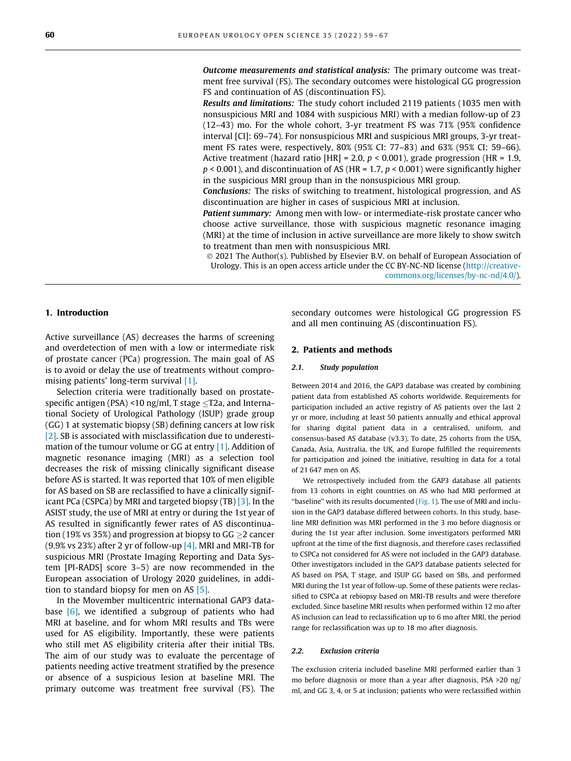Outcome measurements and statistical analysis: The primary outcome was treatment free survival (FS). The secondary outcomes were histological GG progression FS and continuation of AS (discontinuation FS).

Results and limitations: The study cohort included 2119 patients (1035 men with nonsuspicious MRI and 1084 with suspicious MRI) with a median follow-up of 23 (12–43) mo. For the whole cohort, 3-yr treatment FS was 71% (95% confidence interval [CI]: 69–74). For nonsuspicious MRI and suspicious MRI groups, 3-yr treatment FS rates were, respectively, 80% (95% CI: 77–83) and 63% (95% CI: 59–66). Active treatment (hazard ratio  $|HR| = 2.0$ ,  $p < 0.001$ ), grade progression ( $HR = 1.9$ ,  $p < 0.001$ ), and discontinuation of AS (HR = 1.7,  $p < 0.001$ ) were significantly higher in the suspicious MRI group than in the nonsuspicious MRI group.

Conclusions: The risks of switching to treatment, histological progression, and AS discontinuation are higher in cases of suspicious MRI at inclusion.

**Patient summary:** Among men with low- or intermediate-risk prostate cancer who choose active surveillance, those with suspicious magnetic resonance imaging (MRI) at the time of inclusion in active surveillance are more likely to show switch to treatment than men with nonsuspicious MRI.

 2021 The Author(s). Published by Elsevier B.V. on behalf of European Association of Urology. This is an open access article under the CC BY-NC-ND license [\(http://creative](http://creativecommons.org/licenses/by-nc-nd/4.0/)[commons.org/licenses/by-nc-nd/4.0/\)](http://creativecommons.org/licenses/by-nc-nd/4.0/).

# 1. Introduction

Active surveillance (AS) decreases the harms of screening and overdetection of men with a low or intermediate risk of prostate cancer (PCa) progression. The main goal of AS is to avoid or delay the use of treatments without compromising patients' long-term survival [\[1\].](#page-8-0)

Selection criteria were traditionally based on prostatespecific antigen (PSA) <10 ng/ml, T stage  $\leq$ T2a, and International Society of Urological Pathology (ISUP) grade group (GG) 1 at systematic biopsy (SB) defining cancers at low risk [\[2\].](#page-8-0) SB is associated with misclassification due to underestimation of the tumour volume or GG at entry [\[1\].](#page-8-0) Addition of magnetic resonance imaging (MRI) as a selection tool decreases the risk of missing clinically significant disease before AS is started. It was reported that 10% of men eligible for AS based on SB are reclassified to have a clinically significant PCa (CSPCa) by MRI and targeted biopsy  $(TB)$  [\[3\]](#page-8-0). In the ASIST study, the use of MRI at entry or during the 1st year of AS resulted in significantly fewer rates of AS discontinuation (19% vs 35%) and progression at biopsy to  $GG \geq 2$  cancer (9.9% vs 23%) after 2 yr of follow-up  $[4]$ . MRI and MRI-TB for suspicious MRI (Prostate Imaging Reporting and Data System [PI-RADS] score 3–5) are now recommended in the European association of Urology 2020 guidelines, in addition to standard biopsy for men on AS [\[5\].](#page-8-0)

In the Movember multicentric international GAP3 database  $[6]$ , we identified a subgroup of patients who had MRI at baseline, and for whom MRI results and TBs were used for AS eligibility. Importantly, these were patients who still met AS eligibility criteria after their initial TBs. The aim of our study was to evaluate the percentage of patients needing active treatment stratified by the presence or absence of a suspicious lesion at baseline MRI. The primary outcome was treatment free survival (FS). The

secondary outcomes were histological GG progression FS and all men continuing AS (discontinuation FS).

# 2. Patients and methods

#### 2.1. Study population

Between 2014 and 2016, the GAP3 database was created by combining patient data from established AS cohorts worldwide. Requirements for participation included an active registry of AS patients over the last 2 yr or more, including at least 50 patients annually and ethical approval for sharing digital patient data in a centralised, uniform, and consensus-based AS database (v3.3). To date, 25 cohorts from the USA, Canada, Asia, Australia, the UK, and Europe fulfilled the requirements for participation and joined the initiative, resulting in data for a total of 21 647 men on AS.

We retrospectively included from the GAP3 database all patients from 13 cohorts in eight countries on AS who had MRI performed at "baseline" with its results documented ([Fig. 1\)](#page-2-0). The use of MRI and inclusion in the GAP3 database differed between cohorts. In this study, baseline MRI definition was MRI performed in the 3 mo before diagnosis or during the 1st year after inclusion. Some investigators performed MRI upfront at the time of the first diagnosis, and therefore cases reclassified to CSPCa not considered for AS were not included in the GAP3 database. Other investigators included in the GAP3 database patients selected for AS based on PSA, T stage, and ISUP GG based on SBs, and performed MRI during the 1st year of follow-up. Some of these patients were reclassified to CSPCa at rebiopsy based on MRI-TB results and were therefore excluded. Since baseline MRI results when performed within 12 mo after AS inclusion can lead to reclassification up to 6 mo after MRI, the period range for reclassification was up to 18 mo after diagnosis.

#### 2.2. Exclusion criteria

The exclusion criteria included baseline MRI performed earlier than 3 mo before diagnosis or more than a year after diagnosis, PSA >20 ng/ ml, and GG 3, 4, or 5 at inclusion; patients who were reclassified within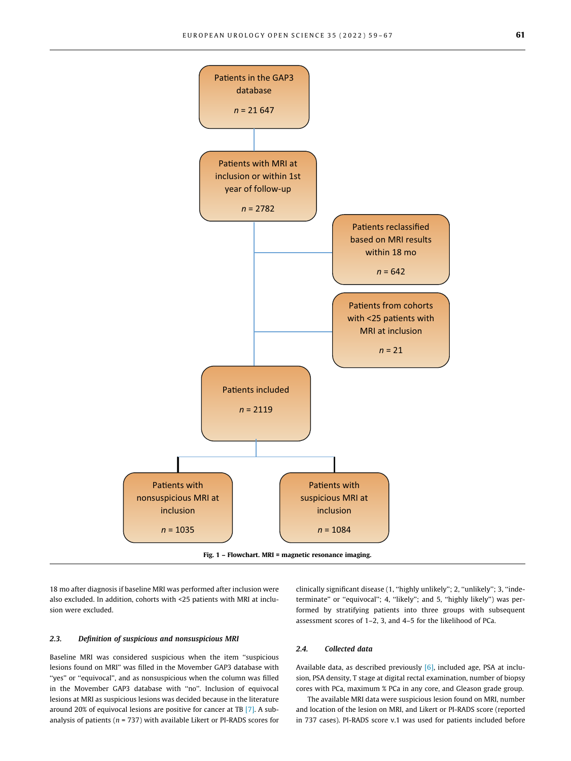<span id="page-2-0"></span>

Fig. 1 – Flowchart. MRI = magnetic resonance imaging.

18 mo after diagnosis if baseline MRI was performed after inclusion were also excluded. In addition, cohorts with <25 patients with MRI at inclusion were excluded.

# 2.3. Definition of suspicious and nonsuspicious MRI

Baseline MRI was considered suspicious when the item ''suspicious lesions found on MRI'' was filled in the Movember GAP3 database with ''yes'' or ''equivocal'', and as nonsuspicious when the column was filled in the Movember GAP3 database with ''no''. Inclusion of equivocal lesions at MRI as suspicious lesions was decided because in the literature around 20% of equivocal lesions are positive for cancer at TB [\[7\]](#page-8-0). A subanalysis of patients ( $n = 737$ ) with available Likert or PI-RADS scores for

clinically significant disease (1, "highly unlikely"; 2, "unlikely"; 3, "indeterminate'' or ''equivocal''; 4, ''likely''; and 5, ''highly likely'') was performed by stratifying patients into three groups with subsequent assessment scores of 1–2, 3, and 4–5 for the likelihood of PCa.

## 2.4. Collected data

Available data, as described previously [\[6\]](#page-8-0), included age, PSA at inclusion, PSA density, T stage at digital rectal examination, number of biopsy cores with PCa, maximum % PCa in any core, and Gleason grade group.

The available MRI data were suspicious lesion found on MRI, number and location of the lesion on MRI, and Likert or PI-RADS score (reported in 737 cases). PI-RADS score v.1 was used for patients included before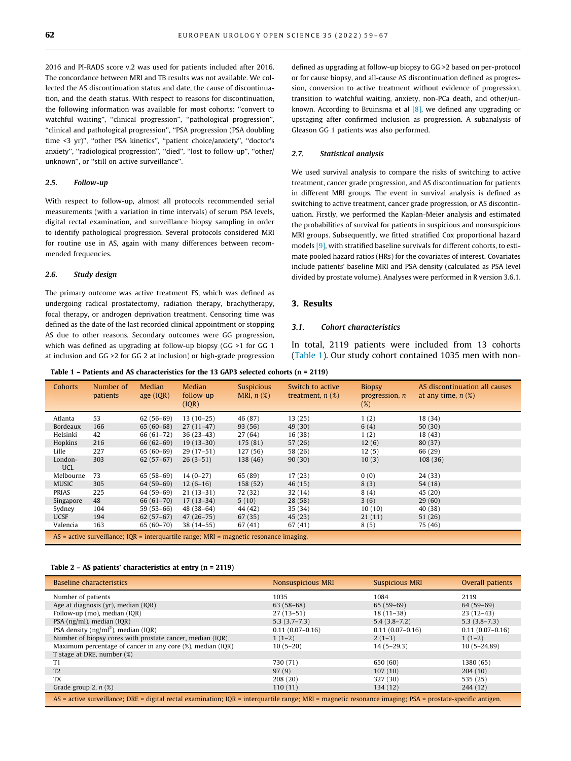<span id="page-3-0"></span>2016 and PI-RADS score v.2 was used for patients included after 2016. The concordance between MRI and TB results was not available. We collected the AS discontinuation status and date, the cause of discontinuation, and the death status. With respect to reasons for discontinuation, the following information was available for most cohorts: ''convert to watchful waiting", "clinical progression", "pathological progression", ''clinical and pathological progression'', ''PSA progression (PSA doubling time <3 yr)", "other PSA kinetics", "patient choice/anxiety", "doctor's anxiety'', ''radiological progression'', ''died'', ''lost to follow-up'', ''other/ unknown'', or ''still on active surveillance''.

#### 2.5. Follow-up

With respect to follow-up, almost all protocols recommended serial measurements (with a variation in time intervals) of serum PSA levels, digital rectal examination, and surveillance biopsy sampling in order to identify pathological progression. Several protocols considered MRI for routine use in AS, again with many differences between recommended frequencies.

## 2.6. Study design

The primary outcome was active treatment FS, which was defined as undergoing radical prostatectomy, radiation therapy, brachytherapy, focal therapy, or androgen deprivation treatment. Censoring time was defined as the date of the last recorded clinical appointment or stopping AS due to other reasons. Secondary outcomes were GG progression, which was defined as upgrading at follow-up biopsy (GG >1 for GG 1 at inclusion and GG >2 for GG 2 at inclusion) or high-grade progression

defined as upgrading at follow-up biopsy to GG >2 based on per-protocol or for cause biopsy, and all-cause AS discontinuation defined as progression, conversion to active treatment without evidence of progression, transition to watchful waiting, anxiety, non-PCa death, and other/unknown. According to Bruinsma et al [\[8\],](#page-8-0) we defined any upgrading or upstaging after confirmed inclusion as progression. A subanalysis of Gleason GG 1 patients was also performed.

#### 2.7. Statistical analysis

We used survival analysis to compare the risks of switching to active treatment, cancer grade progression, and AS discontinuation for patients in different MRI groups. The event in survival analysis is defined as switching to active treatment, cancer grade progression, or AS discontinuation. Firstly, we performed the Kaplan-Meier analysis and estimated the probabilities of survival for patients in suspicious and nonsuspicious MRI groups. Subsequently, we fitted stratified Cox proportional hazard models [\[9\]](#page-8-0), with stratified baseline survivals for different cohorts, to estimate pooled hazard ratios (HRs) for the covariates of interest. Covariates include patients' baseline MRI and PSA density (calculated as PSA level divided by prostate volume). Analyses were performed in R version 3.6.1.

#### 3. Results

## 3.1. Cohort characteristics

In total, 2119 patients were included from 13 cohorts (Table 1). Our study cohort contained 1035 men with non-

Table 1 – Patients and AS characteristics for the 13 GAP3 selected cohorts (n = 2119)

| <b>Cohorts</b>                                                                               | Number of<br><i>patients</i> | Median<br>age (IQR) | <b>Median</b><br>follow-up<br>(IQR) | <b>Suspicious</b><br>MRI, $n$ $(\%)$ | Switch to active<br>treatment, $n$ $(\%)$ | <b>Biopsy</b><br>progression, $n$<br>$(\%)$ | AS discontinuation all causes<br>at any time, $n$ $(\%)$ |
|----------------------------------------------------------------------------------------------|------------------------------|---------------------|-------------------------------------|--------------------------------------|-------------------------------------------|---------------------------------------------|----------------------------------------------------------|
| Atlanta                                                                                      | 53                           | $62(56-69)$         | $13(10-25)$                         | 46 (87)                              | 13(25)                                    | 1(2)                                        | 18 (34)                                                  |
| Bordeaux                                                                                     | 166                          | $65(60-68)$         | $27(11-47)$                         | 93 (56)                              | 49 (30)                                   | 6(4)                                        | 50(30)                                                   |
| Helsinki                                                                                     | 42                           | $66(61-72)$         | $36(23-43)$                         | 27 (64)                              | 16 (38)                                   | 1(2)                                        | 18(43)                                                   |
| Hopkins                                                                                      | 216                          | $66(62-69)$         | $19(13-30)$                         | 175 (81)                             | 57 (26)                                   | 12(6)                                       | 80 (37)                                                  |
| Lille                                                                                        | 227                          | $65(60-69)$         | $29(17-51)$                         | 127 (56)                             | 58 (26)                                   | 12(5)                                       | 66 (29)                                                  |
| London-<br><b>UCL</b>                                                                        | 303                          | $62(57-67)$         | $26(3-51)$                          | 138 (46)                             | 90(30)                                    | 10(3)                                       | 108 (36)                                                 |
| Melbourne                                                                                    | 73                           | $65(58-69)$         | $14(0-27)$                          | 65 (89)                              | 17(23)                                    | 0(0)                                        | 24 (33)                                                  |
| <b>MUSIC</b>                                                                                 | 305                          | $64(59-69)$         | $12(6-16)$                          | 158 (52)                             | 46(15)                                    | 8(3)                                        | 54 (18)                                                  |
| PRIAS                                                                                        | 225                          | $64(59-69)$         | $21(13-31)$                         | 72 (32)                              | 32 (14)                                   | 8(4)                                        | 45 (20)                                                  |
| Singapore                                                                                    | 48                           | $66(61-70)$         | $17(13-34)$                         | 5(10)                                | 28(58)                                    | 3(6)                                        | 29(60)                                                   |
| Sydney                                                                                       | 104                          | $59(53-66)$         | 48 (38-64)                          | 44 (42)                              | 35 (34)                                   | 10(10)                                      | 40 (38)                                                  |
| <b>UCSF</b>                                                                                  | 194                          | $62(57-67)$         | $47(26-75)$                         | 67 (35)                              | 45 (23)                                   | 21(11)                                      | 51 (26)                                                  |
| Valencia                                                                                     | 163                          | 65 (60-70)          | $38(14-55)$                         | 67(41)                               | 67 (41)                                   | 8(5)                                        | 75 (46)                                                  |
| $AS$ = active surveillance; $IOR$ = interguartile range; $MRI$ = magnetic resonance imaging. |                              |                     |                                     |                                      |                                           |                                             |                                                          |

#### Table 2 – AS patients' characteristics at entry (n = 2119)

| Baseline characteristics                                                                                                                                  | <b>Nonsuspicious MRI</b> | <b>Suspicious MRI</b> | Overall patients    |  |  |
|-----------------------------------------------------------------------------------------------------------------------------------------------------------|--------------------------|-----------------------|---------------------|--|--|
| Number of patients                                                                                                                                        | 1035                     | 1084                  | 2119                |  |  |
| Age at diagnosis (yr), median (IQR)                                                                                                                       | $63(58-68)$              | $65(59-69)$           | $64(59-69)$         |  |  |
| Follow-up (mo), median (IQR)                                                                                                                              | $27(13-51)$              | $18(11-38)$           | $23(12-43)$         |  |  |
| PSA (ng/ml), median (IQR)                                                                                                                                 | $5.3(3.7-7.3)$           | $5.4(3.8-7.2)$        | $5.3(3.8-7.3)$      |  |  |
| PSA density $(ng/ml^2)$ , median (IQR)                                                                                                                    | $0.11(0.07-0.16)$        | $0.11(0.07-0.16)$     | $0.11(0.07 - 0.16)$ |  |  |
| Number of biopsy cores with prostate cancer, median (IQR)                                                                                                 | $1(1-2)$                 | $2(1-3)$              | $1(1-2)$            |  |  |
| Maximum percentage of cancer in any core (%), median (IQR)                                                                                                | $10(5-20)$               | $14(5-29.3)$          | $10(5 - 24.89)$     |  |  |
| T stage at DRE, number (%)                                                                                                                                |                          |                       |                     |  |  |
| T1                                                                                                                                                        | 730 (71)                 | 650 (60)              | 1380 (65)           |  |  |
| T <sub>2</sub>                                                                                                                                            | 97(9)                    | 107(10)               | 204(10)             |  |  |
| <b>TX</b>                                                                                                                                                 | 208 (20)                 | 327 (30)              | 535 (25)            |  |  |
| Grade group 2, $n$ (%)                                                                                                                                    | 110(11)                  | 134 (12)              | 244 (12)            |  |  |
| AS = active surveillance; DRE = digital rectal examination; IQR = interquartile range; MRI = magnetic resonance imaging; PSA = prostate-specific antigen. |                          |                       |                     |  |  |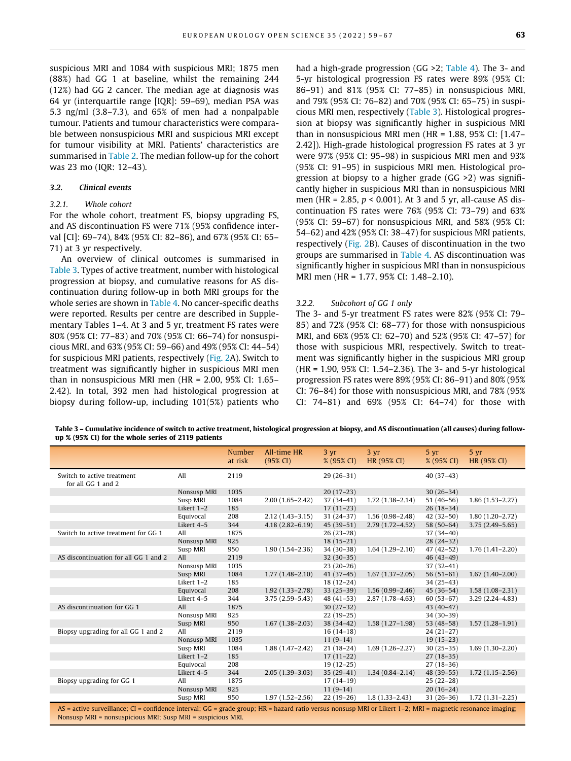suspicious MRI and 1084 with suspicious MRI; 1875 men (88%) had GG 1 at baseline, whilst the remaining 244 (12%) had GG 2 cancer. The median age at diagnosis was 64 yr (interquartile range [IQR]: 59–69), median PSA was 5.3 ng/ml (3.8–7.3), and 65% of men had a nonpalpable tumour. Patients and tumour characteristics were comparable between nonsuspicious MRI and suspicious MRI except for tumour visibility at MRI. Patients' characteristics are summarised in [Table 2](#page-3-0). The median follow-up for the cohort was 23 mo (IQR: 12–43).

# 3.2. Clinical events

# 3.2.1. Whole cohort

For the whole cohort, treatment FS, biopsy upgrading FS, and AS discontinuation FS were 71% (95% confidence interval [CI]: 69–74), 84% (95% CI: 82–86), and 67% (95% CI: 65– 71) at 3 yr respectively.

An overview of clinical outcomes is summarised in Table 3. Types of active treatment, number with histological progression at biopsy, and cumulative reasons for AS discontinuation during follow-up in both MRI groups for the whole series are shown in [Table 4](#page-5-0). No cancer-specific deaths were reported. Results per centre are described in Supplementary Tables 1–4. At 3 and 5 yr, treatment FS rates were 80% (95% CI: 77–83) and 70% (95% CI: 66–74) for nonsuspicious MRI, and 63% (95% CI: 59–66) and 49% (95% CI: 44–54) for suspicious MRI patients, respectively ([Fig. 2A](#page-6-0)). Switch to treatment was significantly higher in suspicious MRI men than in nonsuspicious MRI men (HR = 2.00, 95% CI: 1.65– 2.42). In total, 392 men had histological progression at biopsy during follow-up, including 101(5%) patients who

had a high-grade progression (GG >2; [Table 4](#page-5-0)). The 3- and 5-yr histological progression FS rates were 89% (95% CI: 86–91) and 81% (95% CI: 77–85) in nonsuspicious MRI, and 79% (95% CI: 76–82) and 70% (95% CI: 65–75) in suspicious MRI men, respectively (Table 3). Histological progression at biopsy was significantly higher in suspicious MRI than in nonsuspicious MRI men (HR = 1.88, 95% CI: [1.47– 2.42]). High-grade histological progression FS rates at 3 yr were 97% (95% CI: 95–98) in suspicious MRI men and 93% (95% CI: 91–95) in suspicious MRI men. Histological progression at biopsy to a higher grade (GG >2) was significantly higher in suspicious MRI than in nonsuspicious MRI men (HR = 2.85,  $p < 0.001$ ). At 3 and 5 yr, all-cause AS discontinuation FS rates were 76% (95% CI: 73–79) and 63% (95% CI: 59–67) for nonsuspicious MRI, and 58% (95% CI: 54–62) and 42% (95% CI: 38–47) for suspicious MRI patients, respectively [\(Fig. 2](#page-6-0)B). Causes of discontinuation in the two groups are summarised in [Table 4.](#page-5-0) AS discontinuation was significantly higher in suspicious MRI than in nonsuspicious MRI men (HR = 1.77, 95% CI: 1.48–2.10).

#### 3.2.2. Subcohort of GG 1 only

The 3- and 5-yr treatment FS rates were 82% (95% CI: 79– 85) and 72% (95% CI: 68–77) for those with nonsuspicious MRI, and 66% (95% CI: 62–70) and 52% (95% CI: 47–57) for those with suspicious MRI, respectively. Switch to treatment was significantly higher in the suspicious MRI group (HR = 1.90, 95% CI: 1.54–2.36). The 3- and 5-yr histological progression FS rates were 89% (95% CI: 86–91) and 80% (95% CI: 76–84) for those with nonsuspicious MRI, and 78% (95% CI: 74–81) and 69% (95% CI: 64–74) for those with

Table 3 – Cumulative incidence of switch to active treatment, histological progression at biopsy, and AS discontinuation (all causes) during followup % (95% CI) for the whole series of 2119 patients

|                                                                                                                                                                                                                            |             | <b>Number</b><br>at risk | All-time HR<br>$(95\% \text{ CI})$ | $3 \text{ yr}$<br>% (95% CI) | 3yr<br>HR (95% CI)  | 5 yr<br>% (95% CI) | 5yr<br>HR (95% CI)  |
|----------------------------------------------------------------------------------------------------------------------------------------------------------------------------------------------------------------------------|-------------|--------------------------|------------------------------------|------------------------------|---------------------|--------------------|---------------------|
| Switch to active treatment<br>for all GG 1 and 2                                                                                                                                                                           | All         | 2119                     |                                    | $29(26-31)$                  |                     | $40(37-43)$        |                     |
|                                                                                                                                                                                                                            | Nonsusp MRI | 1035                     |                                    | $20(17-23)$                  |                     | $30(26-34)$        |                     |
|                                                                                                                                                                                                                            | Susp MRI    | 1084                     | $2.00(1.65 - 2.42)$                | $37(34-41)$                  | $1.72(1.38 - 2.14)$ | $51(46-56)$        | $1.86(1.53 - 2.27)$ |
|                                                                                                                                                                                                                            | Likert 1-2  | 185                      |                                    | $17(11-23)$                  |                     | $26(18-34)$        |                     |
|                                                                                                                                                                                                                            | Equivocal   | 208                      | $2.12(1.43-3.15)$                  | $31(24-37)$                  | $1.56(0.98 - 2.48)$ | $42(32-50)$        | $1.80(1.20 - 2.72)$ |
|                                                                                                                                                                                                                            | Likert 4-5  | 344                      | $4.18(2.82 - 6.19)$                | $45(39-51)$                  | $2.79(1.72 - 4.52)$ | $58(50-64)$        | $3.75(2.49 - 5.65)$ |
| Switch to active treatment for GG 1                                                                                                                                                                                        | All         | 1875                     |                                    | $26(23-28)$                  |                     | $37(34-40)$        |                     |
|                                                                                                                                                                                                                            | Nonsusp MRI | 925                      |                                    | $18(15-21)$                  |                     | $28(24-32)$        |                     |
|                                                                                                                                                                                                                            | Susp MRI    | 950                      | $1.90(1.54 - 2.36)$                | $34(30-38)$                  | $1.64(1.29-2.10)$   | $47(42-52)$        | $1.76(1.41 - 2.20)$ |
| AS discontinuation for all GG 1 and 2                                                                                                                                                                                      | All         | 2119                     |                                    | $32(30-35)$                  |                     | $46(43-49)$        |                     |
|                                                                                                                                                                                                                            | Nonsusp MRI | 1035                     |                                    | $23(20-26)$                  |                     | $37(32-41)$        |                     |
|                                                                                                                                                                                                                            | Susp MRI    | 1084                     | $1.77(1.48 - 2.10)$                | $41(37-45)$                  | $1.67(1.37-2.05)$   | $56(51-61)$        | $1.67(1.40 - 2.00)$ |
|                                                                                                                                                                                                                            | Likert 1-2  | 185                      |                                    | $18(12-24)$                  |                     | $34(25-43)$        |                     |
|                                                                                                                                                                                                                            | Equivocal   | 208                      | $1.92(1.33 - 2.78)$                | $33(25-39)$                  | $1.56(0.99 - 2.46)$ | $45(36-54)$        | $1.58(1.08 - 2.31)$ |
|                                                                                                                                                                                                                            | Likert 4-5  | 344                      | $3.75(2.59 - 5.43)$                | $48(41-53)$                  | $2.87(1.78 - 4.63)$ | $60(53-67)$        | $3.29(2.24 - 4.83)$ |
| AS discontinuation for GG 1                                                                                                                                                                                                | All         | 1875                     |                                    | $30(27-32)$                  |                     | $43(40-47)$        |                     |
|                                                                                                                                                                                                                            | Nonsusp MRI | 925                      |                                    | $22(19-25)$                  |                     | 34 (30-39)         |                     |
|                                                                                                                                                                                                                            | Susp MRI    | 950                      | $1.67(1.38 - 2.03)$                | $38(34-42)$                  | $1.58(1.27-1.98)$   | $53(48-58)$        | $1.57(1.28 - 1.91)$ |
| Biopsy upgrading for all GG 1 and 2                                                                                                                                                                                        | All         | 2119                     |                                    | $16(14-18)$                  |                     | $24(21-27)$        |                     |
|                                                                                                                                                                                                                            | Nonsusp MRI | 1035                     |                                    | $11(9-14)$                   |                     | $19(15-23)$        |                     |
|                                                                                                                                                                                                                            | Susp MRI    | 1084                     | $1.88(1.47 - 2.42)$                | $21(18-24)$                  | $1.69(1.26 - 2.27)$ | $30(25-35)$        | $1.69(1.30 - 2.20)$ |
|                                                                                                                                                                                                                            | Likert 1-2  | 185                      |                                    | $17(11-22)$                  |                     | $27(18-35)$        |                     |
|                                                                                                                                                                                                                            | Equivocal   | 208                      |                                    | $19(12-25)$                  |                     | $27(18-36)$        |                     |
|                                                                                                                                                                                                                            | Likert 4-5  | 344                      | $2.05(1.39-3.03)$                  | $35(29-41)$                  | $1.34(0.84 - 2.14)$ | 48 (39-55)         | $1.72(1.15 - 2.56)$ |
| Biopsy upgrading for GG 1                                                                                                                                                                                                  | All         | 1875                     |                                    | $17(14-19)$                  |                     | $25(22-28)$        |                     |
|                                                                                                                                                                                                                            | Nonsusp MRI | 925                      |                                    | $11(9-14)$                   |                     | $20(16-24)$        |                     |
|                                                                                                                                                                                                                            | Susp MRI    | 950                      | $1.97(1.52 - 2.56)$                | $22(19-26)$                  | $1.8(1.33 - 2.43)$  | $31(26-36)$        | $1.72(1.31 - 2.25)$ |
| AS = active surveillance; CI = confidence interval; GG = grade group; HR = hazard ratio versus nonsusp MRI or Likert 1–2; MRI = magnetic resonance imaging;<br>Nonsusp MRI = nonsuspicious MRI; Susp MRI = suspicious MRI. |             |                          |                                    |                              |                     |                    |                     |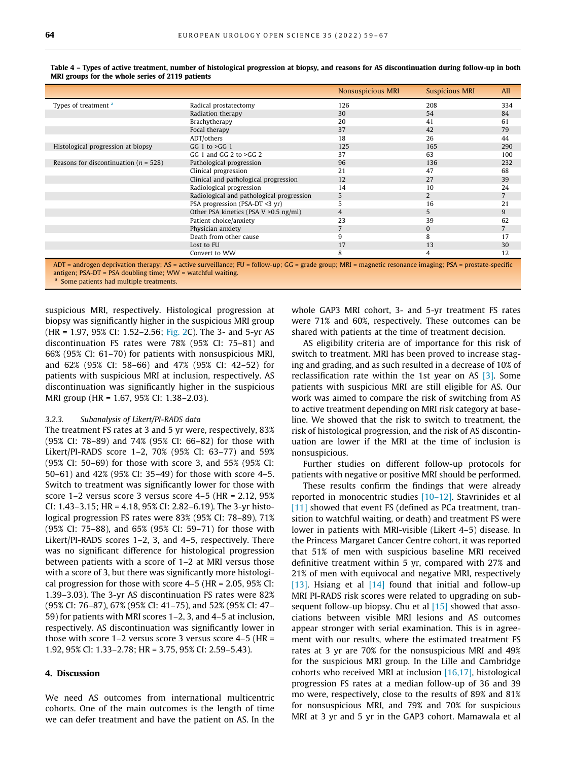|                                           |                                           | <b>Nonsuspicious MRI</b> | <b>Suspicious MRI</b> | All            |
|-------------------------------------------|-------------------------------------------|--------------------------|-----------------------|----------------|
| Types of treatment <sup>a</sup>           | Radical prostatectomy                     | 126                      | 208                   | 334            |
|                                           | Radiation therapy                         | 30                       | 54                    | 84             |
|                                           | Brachytherapy                             | 20                       | 41                    | 61             |
|                                           | Focal therapy                             | 37                       | 42                    | 79             |
|                                           | ADT/others                                | 18                       | 26                    | 44             |
| Histological progression at biopsy        | GG 1 to $>$ GG 1                          | 125                      | 165                   | 290            |
|                                           | GG 1 and GG 2 to $>GG$ 2                  | 37                       | 63                    | 100            |
| Reasons for discontinuation ( $n = 528$ ) | Pathological progression                  | 96                       | 136                   | 232            |
|                                           | Clinical progression                      | 21                       | 47                    | 68             |
|                                           | Clinical and pathological progression     | 12                       | 27                    | 39             |
|                                           | Radiological progression                  | 14                       | 10                    | 24             |
|                                           | Radiological and pathological progression | 5                        | $\overline{2}$        | $\overline{7}$ |
|                                           | PSA progression (PSA-DT <3 yr)            | 5                        | 16                    | 21             |
|                                           | Other PSA kinetics (PSA V > 0.5 ng/ml)    | $\overline{4}$           | 5                     | 9              |
|                                           | Patient choice/anxiety                    | 23                       | 39                    | 62             |
|                                           | Physician anxiety                         | 7                        | $\mathbf{0}$          | $\overline{7}$ |
|                                           | Death from other cause                    | 9                        | 8                     | 17             |
|                                           | Lost to FU                                | 17                       | 13                    | 30             |
|                                           | Convert to WW                             | 8                        | 4                     | 12             |

<span id="page-5-0"></span>Table 4 – Types of active treatment, number of histological progression at biopsy, and reasons for AS discontinuation during follow-up in both MRI groups for the whole series of 2119 patients

ADT = androgen deprivation therapy; AS = active surveillance; FU = follow-up; GG = grade group; MRI = magnetic resonance imaging; PSA = prostate-specific antigen; PSA-DT = PSA doubling time; WW = watchful waiting.

<sup>a</sup> Some patients had multiple treatments.

suspicious MRI, respectively. Histological progression at biopsy was significantly higher in the suspicious MRI group (HR = 1.97, 95% CI: 1.52–2.56; [Fig. 2C](#page-6-0)). The 3- and 5-yr AS discontinuation FS rates were 78% (95% CI: 75–81) and 66% (95% CI: 61–70) for patients with nonsuspicious MRI, and 62% (95% CI: 58–66) and 47% (95% CI: 42–52) for patients with suspicious MRI at inclusion, respectively. AS discontinuation was significantly higher in the suspicious MRI group (HR = 1.67, 95% CI: 1.38–2.03).

## 3.2.3. Subanalysis of Likert/PI-RADS data

The treatment FS rates at 3 and 5 yr were, respectively, 83% (95% CI: 78–89) and 74% (95% CI: 66–82) for those with Likert/PI-RADS score 1–2, 70% (95% CI: 63–77) and 59% (95% CI: 50–69) for those with score 3, and 55% (95% CI: 50–61) and 42% (95% CI: 35–49) for those with score 4–5. Switch to treatment was significantly lower for those with score 1–2 versus score 3 versus score 4–5 (HR = 2.12, 95% CI: 1.43–3.15; HR = 4.18, 95% CI: 2.82–6.19). The 3-yr histological progression FS rates were 83% (95% CI: 78–89), 71% (95% CI: 75–88), and 65% (95% CI: 59–71) for those with Likert/PI-RADS scores 1–2, 3, and 4–5, respectively. There was no significant difference for histological progression between patients with a score of 1–2 at MRI versus those with a score of 3, but there was significantly more histological progression for those with score 4–5 (HR = 2.05, 95% CI: 1.39–3.03). The 3-yr AS discontinuation FS rates were 82% (95% CI: 76–87), 67% (95% CI: 41–75), and 52% (95% CI: 47– 59) for patients with MRI scores 1–2, 3, and 4–5 at inclusion, respectively. AS discontinuation was significantly lower in those with score 1–2 versus score 3 versus score 4–5 (HR = 1.92, 95% CI: 1.33–2.78; HR = 3.75, 95% CI: 2.59–5.43).

# 4. Discussion

We need AS outcomes from international multicentric cohorts. One of the main outcomes is the length of time we can defer treatment and have the patient on AS. In the whole GAP3 MRI cohort, 3- and 5-yr treatment FS rates were 71% and 60%, respectively. These outcomes can be shared with patients at the time of treatment decision.

AS eligibility criteria are of importance for this risk of switch to treatment. MRI has been proved to increase staging and grading, and as such resulted in a decrease of 10% of reclassification rate within the 1st year on AS  $[3]$ . Some patients with suspicious MRI are still eligible for AS. Our work was aimed to compare the risk of switching from AS to active treatment depending on MRI risk category at baseline. We showed that the risk to switch to treatment, the risk of histological progression, and the risk of AS discontinuation are lower if the MRI at the time of inclusion is nonsuspicious.

Further studies on different follow-up protocols for patients with negative or positive MRI should be performed.

These results confirm the findings that were already reported in monocentric studies [\[10–12\]](#page-8-0). Stavrinides et al [\[11\]](#page-8-0) showed that event FS (defined as PCa treatment, transition to watchful waiting, or death) and treatment FS were lower in patients with MRI-visible (Likert 4–5) disease. In the Princess Margaret Cancer Centre cohort, it was reported that 51% of men with suspicious baseline MRI received definitive treatment within 5 yr, compared with 27% and 21% of men with equivocal and negative MRI, respectively [\[13\].](#page-8-0) Hsiang et al  $[14]$  found that initial and follow-up MRI PI-RADS risk scores were related to upgrading on sub-sequent follow-up biopsy. Chu et al [\[15\]](#page-8-0) showed that associations between visible MRI lesions and AS outcomes appear stronger with serial examination. This is in agreement with our results, where the estimated treatment FS rates at 3 yr are 70% for the nonsuspicious MRI and 49% for the suspicious MRI group. In the Lille and Cambridge cohorts who received MRI at inclusion [\[16,17\]](#page-8-0), histological progression FS rates at a median follow-up of 36 and 39 mo were, respectively, close to the results of 89% and 81% for nonsuspicious MRI, and 79% and 70% for suspicious MRI at 3 yr and 5 yr in the GAP3 cohort. Mamawala et al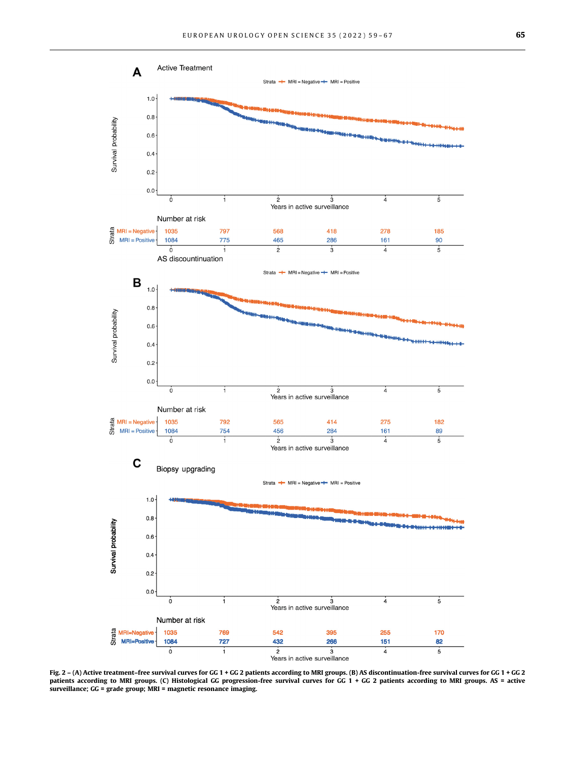<span id="page-6-0"></span>

Fig. 2 – (A) Active treatment–free survival curves for GG 1 + GG 2 patients according to MRI groups. (B) AS discontinuation-free survival curves for GG 1 + GG 2 patients according to MRI groups. (C) Histological GG progression-free survival curves for GG 1 + GG 2 patients according to MRI groups. AS = active surveillance; GG = grade group; MRI = magnetic resonance imaging.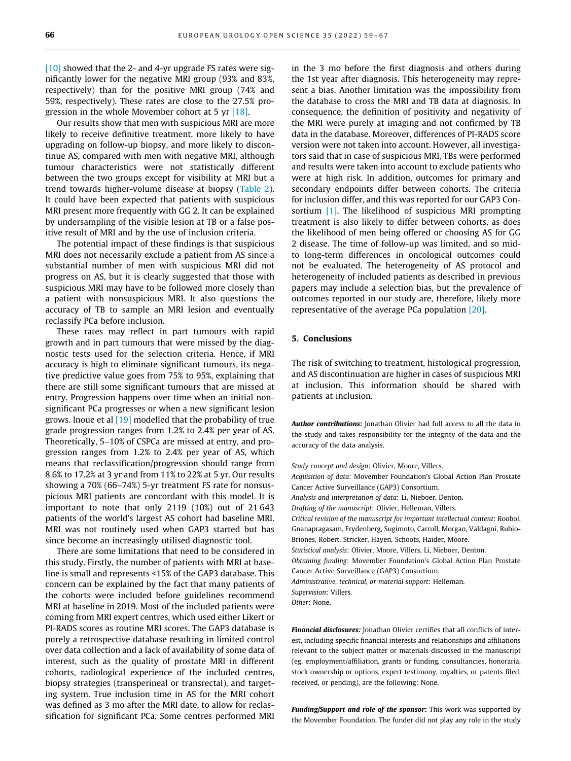[\[10\]](#page-8-0) showed that the 2- and 4-yr upgrade FS rates were significantly lower for the negative MRI group (93% and 83%, respectively) than for the positive MRI group (74% and 59%, respectively). These rates are close to the 27.5% pro-gression in the whole Movember cohort at 5 yr [\[18\].](#page-8-0)

Our results show that men with suspicious MRI are more likely to receive definitive treatment, more likely to have upgrading on follow-up biopsy, and more likely to discontinue AS, compared with men with negative MRI, although tumour characteristics were not statistically different between the two groups except for visibility at MRI but a trend towards higher-volume disease at biopsy ([Table 2](#page-3-0)). It could have been expected that patients with suspicious MRI present more frequently with GG 2. It can be explained by undersampling of the visible lesion at TB or a false positive result of MRI and by the use of inclusion criteria.

The potential impact of these findings is that suspicious MRI does not necessarily exclude a patient from AS since a substantial number of men with suspicious MRI did not progress on AS, but it is clearly suggested that those with suspicious MRI may have to be followed more closely than a patient with nonsuspicious MRI. It also questions the accuracy of TB to sample an MRI lesion and eventually reclassify PCa before inclusion.

These rates may reflect in part tumours with rapid growth and in part tumours that were missed by the diagnostic tests used for the selection criteria. Hence, if MRI accuracy is high to eliminate significant tumours, its negative predictive value goes from 75% to 95%, explaining that there are still some significant tumours that are missed at entry. Progression happens over time when an initial nonsignificant PCa progresses or when a new significant lesion grows. Inoue et al [\[19\]](#page-8-0) modelled that the probability of true grade progression ranges from 1.2% to 2.4% per year of AS. Theoretically, 5–10% of CSPCa are missed at entry, and progression ranges from 1.2% to 2.4% per year of AS, which means that reclassification/progression should range from 8.6% to 17.2% at 3 yr and from 11% to 22% at 5 yr. Our results showing a 70% (66–74%) 5-yr treatment FS rate for nonsuspicious MRI patients are concordant with this model. It is important to note that only 2119 (10%) out of 21 643 patients of the world's largest AS cohort had baseline MRI. MRI was not routinely used when GAP3 started but has since become an increasingly utilised diagnostic tool.

There are some limitations that need to be considered in this study. Firstly, the number of patients with MRI at baseline is small and represents <15% of the GAP3 database. This concern can be explained by the fact that many patients of the cohorts were included before guidelines recommend MRI at baseline in 2019. Most of the included patients were coming from MRI expert centres, which used either Likert or PI-RADS scores as routine MRI scores. The GAP3 database is purely a retrospective database resulting in limited control over data collection and a lack of availability of some data of interest, such as the quality of prostate MRI in different cohorts, radiological experience of the included centres, biopsy strategies (transperineal or transrectal), and targeting system. True inclusion time in AS for the MRI cohort was defined as 3 mo after the MRI date, to allow for reclassification for significant PCa. Some centres performed MRI

in the 3 mo before the first diagnosis and others during the 1st year after diagnosis. This heterogeneity may represent a bias. Another limitation was the impossibility from the database to cross the MRI and TB data at diagnosis. In consequence, the definition of positivity and negativity of the MRI were purely at imaging and not confirmed by TB data in the database. Moreover, differences of PI-RADS score version were not taken into account. However, all investigators said that in case of suspicious MRI, TBs were performed and results were taken into account to exclude patients who were at high risk. In addition, outcomes for primary and secondary endpoints differ between cohorts. The criteria for inclusion differ, and this was reported for our GAP3 Consortium [\[1\].](#page-8-0) The likelihood of suspicious MRI prompting treatment is also likely to differ between cohorts, as does the likelihood of men being offered or choosing AS for GG 2 disease. The time of follow-up was limited, and so midto long-term differences in oncological outcomes could not be evaluated. The heterogeneity of AS protocol and heterogeneity of included patients as described in previous papers may include a selection bias, but the prevalence of outcomes reported in our study are, therefore, likely more representative of the average PCa population [\[20\].](#page-8-0)

# 5. Conclusions

The risk of switching to treatment, histological progression, and AS discontinuation are higher in cases of suspicious MRI at inclusion. This information should be shared with patients at inclusion.

Author contributions: Jonathan Olivier had full access to all the data in the study and takes responsibility for the integrity of the data and the accuracy of the data analysis.

Study concept and design: Olivier, Moore, Villers. Acquisition of data: Movember Foundation's Global Action Plan Prostate Cancer Active Surveillance (GAP3) Consortium. Analysis and interpretation of data: Li, Nieboer, Denton. Drafting of the manuscript: Olivier, Helleman, Villers. Critical revision of the manuscript for important intellectual content: Roobol, Gnanapragasam, Frydenberg, Sugimoto, Carroll, Morgan, Valdagni, Rubio-Briones, Robert, Stricker, Hayen, Schoots, Haider, Moore. Statistical analysis: Olivier, Moore, Villers, Li, Nieboer, Denton. Obtaining funding: Movember Foundation's Global Action Plan Prostate Cancer Active Surveillance (GAP3) Consortium. Administrative, technical, or material support: Helleman. Supervision: Villers. Other: None.

Financial disclosures: Jonathan Olivier certifies that all conflicts of interest, including specific financial interests and relationships and affiliations relevant to the subject matter or materials discussed in the manuscript (eg, employment/affiliation, grants or funding, consultancies, honoraria, stock ownership or options, expert testimony, royalties, or patents filed, received, or pending), are the following: None.

Funding/Support and role of the sponsor: This work was supported by the Movember Foundation. The funder did not play any role in the study